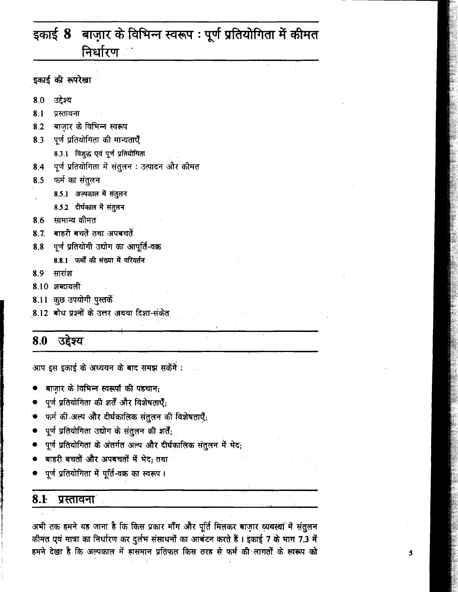# इकाई 8 बाज़ार के विभिन्न स्वरूप: पूर्ण प्रतियोगिता में कीमत निर्धारण

इकाई की रूपरेखा

- उद्देश्य 8.0
- $8.1$ प्रस्तावना
- बाज़ार के विभिन्न स्वरूप 8.2
- पूर्ण प्रतियोगिता की मान्यताएँ 8.3
- 8.3.1 विशुद्ध एवं पूर्ण प्रतियोगिता
- पूर्ण प्रतियोगिता में संतुलन : उत्पादन और कीमत 8.4
- फर्म का संतुलन 8.5
- 8.5.1 अल्पकाल में संतुलन
	- 8.5.2 दीर्घकाल में संतुलन
- 8.6 सामान्य कीमत
- बाहरी बचतें तथा अपबचतें  $8.7$
- पूर्ण प्रतियोगी उद्योग का आपूर्ति-वक्र 8.8
	- 8.8.1 फर्मों की संख्या में परिवर्तन
- सारांश 8.9
- 8.10 शब्दावली
- 8.11 कुछ उपयोगी पुस्तकें
- 8.12 बोध प्रश्नों के उत्तर अथवा दिशा-संकेत

#### 8.0 उद्देश्य

आप इस इकाई के अध्ययन के बाद समझ सकेंगें :

- बाजार के विभिन्न स्वरूपों की पहचान;
- पूर्ण प्रतियोगिता की शर्तें और विशेषताएँ;
- फर्म की अल्प और दीर्घकालिक संतुलन की विशेषताएँ;
- पूर्ण प्रतियोगिता उद्योग के संतुलन की शर्ते;
- .पूर्ण प्रतियोगिता के अंतर्गत अल्प और दीर्घकालिक संतुलन में भेद;
- बाहरी बचतों और अपबचतों में भेद; तथा
- पूर्ण प्रतियोगिता में पूर्ति-वक्र का स्वरूप।

#### $8.1$ प्रस्तावना

अभी तक हमने यह जाना है कि किस प्रकार माँग और पूर्ति मिलकर बाज़ार व्यवस्था में संतुलन कीमत एवं मात्रा का निर्धारण कर दुर्लभ संसाधनों का आबंटन करते हैं। इकाई 7 के भाग 7.3 में हमने देखा है कि अल्पकाल में हासमान प्रतिफल किस तरह से फर्म की लागतों के स्वरूप को

5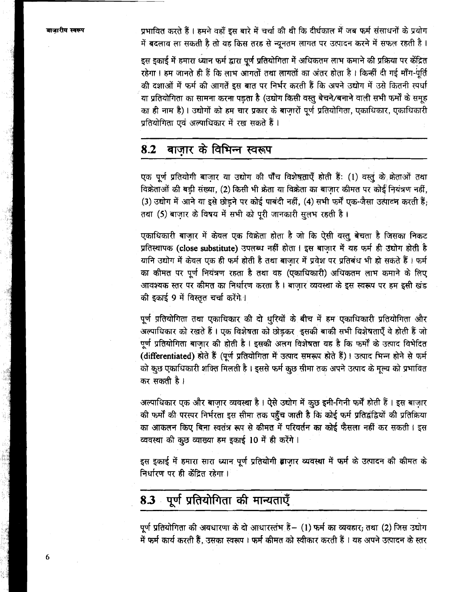प्रभावित करते हैं। हमने वहाँ इस बारे में चर्चा की थी कि दीर्घकाल में जब फर्म संसाधनों के प्रयोग में बदलाव ला सकती है तो वह किस तरह से न्यूनतम लागत पर उत्पादन करने में सफल रहती है।

इस इकाई में हमारा ध्यान फर्म द्वारा पूर्ण प्रतियोगिता में अधिकतम लाभ कमाने की प्रक्रिया पर केंद्रित रहेगा। हम जानते ही हैं कि लाभ आगतों तथा लागतों का अंतर होता है। किन्हीं दी गई माँग-पूर्ति की दशाओं में फर्म की आगतें इस बात पर निर्भर करती हैं कि अपने उद्योग में उसे कितनी स्पर्धा या प्रतियोगिता का सामना करना पडता है (उद्योग किसी वस्तु बेचने/बनाने वाली सभी फर्मों के समूह का ही नाम है)। उद्योगों को हम चार प्रकार के बाजारों पूर्ण प्रतियोगिता, एकाधिकार, एकाधिकारी प्रतियोगिता एवं अल्पाधिकार में रख सकते हैं।

#### बाज़ार के विभिन्न स्वरूप 8.2

एक पूर्ण प्रतियोगी बाजार या उद्योग की पाँच विशेषताएँ होती हैं: (1) वस्तु के क्रेताओं तथा विक्रेताओं की बड़ी संख्या, (2) किसी भी क्रेता या विक्रेता का बाजार कीमत पर कोई नियंत्रण नहीं, (3) उद्योग में आने या इसे छोड़ने पर कोई पाबंदी नहीं, (4) सभी फर्में एक-जैसा उत्पादन करती हैं: तथा (5) बाजार के विषय में सभी को परी जानकारी सलभ रहती है।

एकाधिकारी बाजार में केवल एक विक्रेता होता है जो कि ऐसी वस्तु बेचता है जिसका निकट प्रतिस्थापक (close substitute) उपलब्ध नहीं होता । इस बाजार में यह फर्म ही उद्योग होती है यानि उद्योग में केवल एक ही फर्म होती है तथा बाजार में प्रवेश पर प्रतिबंध भी हो सकते हैं। फर्म का कीमत पर पूर्ण नियंत्रण रहता है तथा वह (एकाधिकारी) अधिकतम लाभ कमाने के लिए आवश्यक स्तर पर कीमत का निर्धारण करता है। बाजार व्यवस्था के इस स्वरूप पर हम इसी खंड की इकाई 9 में विस्तृत चर्चा करेंगे।

पूर्ण प्रतियोगिता तथा एकाधिकार की दो धुरियों के बीच में हम एकाधिकारी प्रतियोगिता और अल्पाधिकार को रखते हैं। एक विशेषता को छोड़कर इसकी बाकी सभी विशेषताएँ वे होती हैं जो .<br>पूर्ण प्रतियोगिता बाजार की होती है । इसकी अलग विशेषता यह है कि फर्मों के उत्पाद विभेदित (differentiated) होते हैं (पूर्ण प्रतियोगिता में उत्पाद समरूप होते हैं)। उत्पाद भिन्न होने से फर्म को कुछ एकाधिकारी शक्ति मिलती है। इससे फर्म कुछ सीमा तक अपने उत्पाद के मूल्य को प्रभावित कर सकती है।

अल्पाधिकार एक और बाज़ार व्यवस्था है। ऐसे उद्योग में कुछ इनी-गिनी फर्में होती हैं। इस बाज़ार की फर्मों की परस्पर निर्भरता इस सीमा तक पहुँच जाती है कि कोई फर्म प्रतिद्वंद्वियों की प्रतिक्रिया का आकलन किए बिना स्वतंत्र रूप से कीमत में परिवर्तन का कोई फैसला नहीं कर सकती। इस व्यवस्था की कुछ व्याख्या हम इकाई 10 में ही करेंगे।

इस इकाई में हमारा सारा ध्यान पूर्ण प्रतियोगी बाजार व्यवस्था में फर्म के उत्पादन की कीमत के निर्धारण पर ही केंद्रित रहेगा ।

# 8.3 पूर्ण प्रतियोगिता की मान्यताएँ

पूर्ण प्रतियोगिता की अवधारणा के दो आधारस्तंभ हैं - (1) फर्म का व्यवहार; तथा (2) जिस उद्योग में फर्म कार्य करती हैं, उसका स्वरूप । फर्म कीमत को स्वीकार करती हैं । यह अपने उत्पादन के स्तर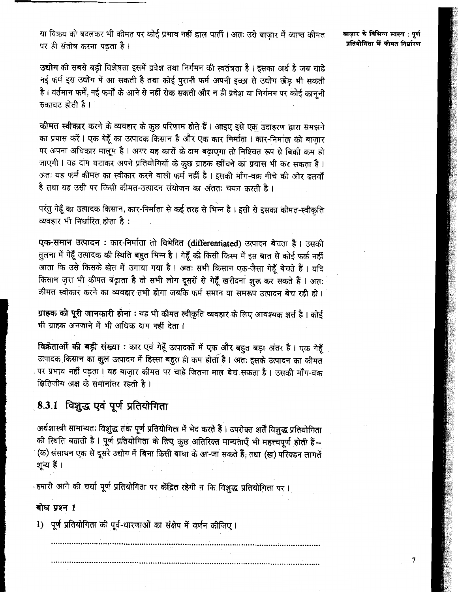या विक्रय को बदलकर भी कीमत पर कोई प्रभाव नहीं डाल पार्ती । अतः उसे बाजार में व्याप्त कीमत पर ही संतोष करना पड़ता है।

बाजार के विभिन्न स्वरूप : पर्ण प्रतियोगिता में कीमत निर्धारण

 $\overline{7}$ 

उद्योग की सबसे बड़ी विशेषता इसमें प्रवेश तथा निर्गमन की स्वतंत्रता है। इसका अर्थ है जब चाहे नई फर्म इस उद्योग में आ सकती है तथा कोई पुरानी फर्म अपनी इच्छा से उद्योग छोड़ भी सकती है। वर्तमान फर्में, नई फर्मों के आने से नहीं रोक सकती और न ही प्रवेश या निर्गमन पर कोई कानूनी रुकावट होती है।

कीमत स्वीकार करने के व्यवहार के कुछ परिणाम होते हैं। आइए इसे एक उदाहरण द्वारा समझने का प्रयास करें। एक गेहूँ का उत्पादक किसान है और एक कार निर्माता। कार-निर्माता को बाज़ार पर अपना अधिकार मालूम है। अगर यह कारों के दाम बढ़ाएगा तो निश्चित रूप से बिक्री कम हो जाएगी। वह दाम घटाकर अपने प्रतियोगियों के कुछ ग्राहक खींचने का प्रयास भी कर सकता है। अतः यह फर्म कीमत का स्वीकार करने वाली फर्म नहीं है । इसकी माँग-वक्र नीचे की ओर ढलवाँ है तथा यह उसी पर किसी कीमत-उत्पादन संयोजन का अंततः चयन करती है ।

परंतु गेहूँ का उत्पादक किसान, कार-निर्माता से कई तरह से भिन्न है। इसी से इसका कीमत-स्वीकृति व्यवहार भी निर्धारित होता है:

एक-समान उत्पादन : कार-निर्माता तो विभेदित (differentiated) उत्पादन बेचता है। उसकी तुलना में गेहूँ उत्पादक की स्थिति बहुत भिन्न है । गेहूँ की किसी किस्म में इस बात से कोई फर्क नहीं आता कि उसे किसके खेत में उगाया गया है। अतः सभी किसान एक-जैसा गेहूँ बेचते हैं। यदि किसान ज़रा भी कीमत बढ़ाता है तो सभी लोग दूसरों से गेहूँ खरीदना शुरू कर सकते हैं। अतः कीमत स्वीकार करने का व्यवहार तभी होगा जबकि फर्म समान या समरूप उत्पादन बेच रही हो।

ग्राहक को पूरी जानकारी होना : यह भी कीमत स्वीकृति व्यवहार के लिए आवश्यक शर्त है। कोई भी ग्राहक अनजाने में भी अधिक दाम नहीं देता।

विक्रेताओं की बड़ी संख्या : कार एवं गेहूँ उत्पादकों में एक और बहुत बड़ा अंतर है। एक गेहूँ उत्पादक किसान का कुल उत्पादन में हिस्सा बहुत ही कम होता है। अतः इसके उत्पादन का कीमत पर प्रभाव नहीं पड़ता। वह बाजार कीमत पर चाहे जितना माल बेच सकता है। उसकी माँग-वक्र क्षितिजीय अक्ष के समानांतर रहती है।

# 8.3.1 विशुद्ध एवं पूर्ण प्रतियोगिता

अर्थशास्त्री सामान्यतः विशुद्ध तथा पूर्ण प्रतियोगिता में भेद करते हैं। उपरोक्त शर्तें विशुद्ध प्रतियोगिता की स्थिति बताती है। पूर्ण प्रतियोगिता के लिए कुछ अतिरिक्त मान्यताएँ भी महत्त्वपूर्ण होती हैं-(क) संसाधन एक से दूसरे उद्योग में बिना किसी बाधा के आ-जा सकते हैं; तथा (ख) परिवहन लागतें शन्य हैं ।

्हमारी आगे की चर्चा पूर्ण प्रतियोगिता पर केंद्रित रहेगी न कि विशुद्ध प्रतियोगिता पर ।

## बोध पृश्न 1

1) पूर्ण प्रतियोगिता की पूर्व-धारणाओं का संक्षेप में वर्णन कीजिए।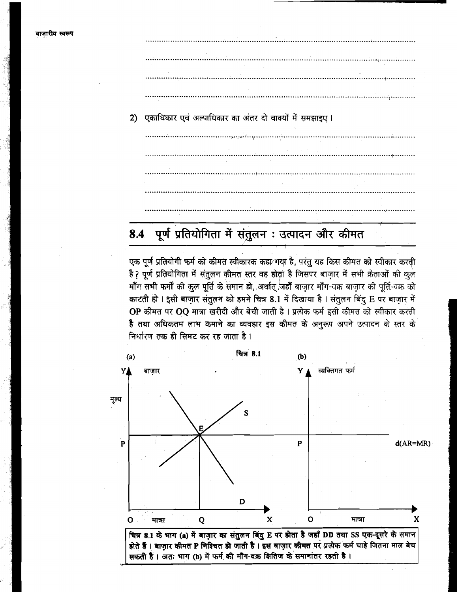2) एकाधिकार एवं अल्पाधिकार का अंतर दो वाक्यों में समझाइए।

### पूर्ण प्रतियोगिता में संतुलन : उत्पादन और कीमत 8.4

एक पूर्ण प्रतियोगी फर्म को कीमत स्वीकारक कहा⁄ गया है, परंतु यह किस कीमत को स्वीकार करती है? पूर्ण प्रतियोगिता में संतुलन कीमत स्तर वह होता है जिसपर बाज़ार में सभी क्रेताओं की कुल माँग सभी फर्मों की कुल पूर्ति के समान हो, अर्थात् जहाँ बाज़ार माँग-वक्र बाज़ार की पूर्ति-वक्र को काटती हो। इसी बाज़ार संतुलन को हमने चित्र 8.1 में दिखाया है। संतुलन बिंदु E पर बाज़ार में OP कीमत पर OQ मात्रा खरीदी और बेची जाती है। प्रत्येक फर्म इसी कीमत को स्वीकार करती है तथा अधिकतम लाभ कमाने का व्यवहार इस कीमत के अनुरूप अपने उत्पादन के स्तर के निर्धारण तक ही सिमट कर रह जाता है।

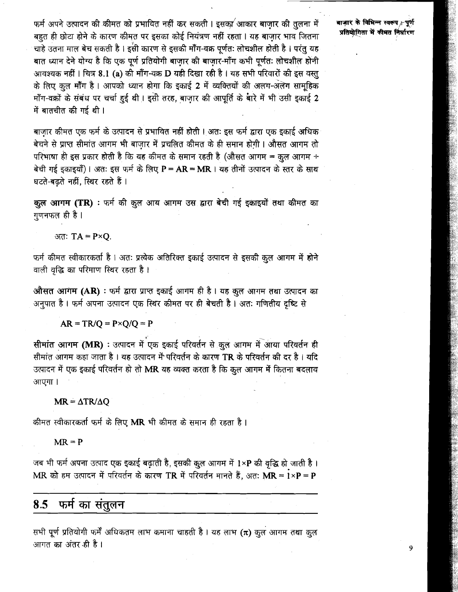फर्म अपने उत्पादन की कीमत को प्रभावित नहीं कर सकती । इसका आकार बाज़ार की तुलना में बहुत ही छोटा होने के कारण कीमत पर इसका कोई नियंत्रण नहीं रहता । यह बाज़ार भाव जितना चाहे उतना माल बेच सकती है । इसी कारण से इसकी मॉॅंग-वक्र पूर्णतः लोचशील होती है । परंतु यह बात ध्यान देने योग्य है कि एक पूर्ण प्रतियोगी बाज़ार की बाज़ार-माँग कभी पूर्णतः लोचशील होनी आवश्यक नहीं । चित्र 8.1 (a) की माँग-वक्र D यही दिखा रही है । यह सभी परिवारों की इस वस्तु के लिए कुल माँग है। आपको ध्यान होगा कि इकाई 2 में व्यक्तियों की अलग-अलग सामूहिक माँग-वक्रों के संबंध पर चर्चा हुई थी। इसी तरह, बाज़ार की आपूर्ति के बारे में भी उसी इकाई 2 में बातचीत की गई थी ।

बाजार कीमत एक फर्म के उत्पादन से प्रभावित नहीं होती। अतः इस फर्म द्वारा एक इकाई अधिक बेचने से प्राप्त सीमांत आगम भी बाज़ार में प्रचलित कीमत के ही समान होगी। औसत आगम तो परिभाषा ही इस प्रकार होती है कि यह कीमत के समान रहती है (औसत आगम = कुल आगम ÷ बेची गई इकाइयाँ)। अतः इस फर्म के लिए P = AR = MR । यह तीनों उत्पादन के स्तर के साथ घटते-बढते नहीं, स्थिर रहते हैं।

कूल आगम (TR) : फर्म की कूल आय आगम उस द्वारा बेची गई इकाइयों तथा कीमत का गणनफल ही है ।

अतः  $TA = P \times Q$ .

फर्म कीमत स्वीकारकर्ता है। अतः प्रत्येक अतिरिक्त इकाई उत्पादन से इसकी कुल आगम में होने वाली वृद्धि का परिमाण स्थिर रहता है।

औसत आगम (AR) : फर्म द्वारा प्राप्त इकाई आगम ही है। यह कुल आगम तथा उत्पादन का अनुपात है। फर्म अपना उत्पादन एक स्थिर कीमत पर ही बेचती है। अतः गणितीय दृष्टि से

 $AR = TR/Q = P \times Q/Q = P$ 

सीमांत आगम (MR) : उत्पादन में एक इकाई परिवर्तन से कूल आगम में आया परिवर्तन ही सीमांत आगम कहा जाता है। यह उत्पादन में परिवर्तन के कारण TR के परिवर्तन की दर है। यदि उत्पादन में एक इंकाई परिवर्तन हो तो MR यह व्यक्त करता है कि कुल आगम में कितना बदलाव आएगा ।

### $MR = \Delta TR/\Delta Q$

कीमत स्वीकारकर्ता फर्म के लिए MR भी कीमत के समान ही रहता है।

 $MR = P$ 

जब भी फर्म अपना उत्पाद एक इकाई बढ़ाती है, इसकी कुल आगम में 1×P की वृद्धि हो जाती है। MR को हम उत्पादन में परिवर्तन के कारण TR में परिवर्तन मानते हैं, अतः MR =  $i \times P = P$ 

8.5 फर्म का संतुलन

सभी पूर्ण प्रतियोगी फर्में अधिकतम लाभ कमाना चाहती है। यह लाभ ( $\pi$ ) कुल आगम तथा कुल आगत का अंतर ही है।

बाजार के विभिन्न स्वरूप - पूर्ण प्रतियोगिता में कीमत निर्धारण

9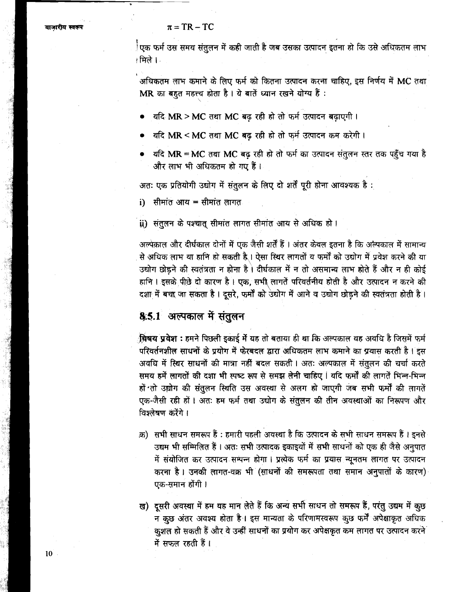## $\pi = TR - TC$

़ैएक फर्म उस समय संतुलन में कही जाती है जब उसका उत्पादन इतना हो कि उसे अधिकतम लाभ ⊥मिले । ⊦

अधिकतम लाभ कमाने के लिए फर्म को कितना उत्पादन करना चाहिए, इस निर्णय में MC तथा MR का बहुत महत्त्व होता है। ये बातें ध्यान रखने योग्य हैं:

- यदि MR > MC तथा MC बढ़ रही हो तो फर्म उत्पादन बढ़ाएगी।
- यदि MR < MC तथा MC बढ रही हो तो फर्म उत्पादन कम करेगी।
- यदि MR = MC तथा MC बढ रही हो तो फर्म का उत्पादन संतुलन स्तर तक पहुँच गया है और लाभ भी अधिकतम हो गए हैं।

अतः एक प्रतियोगी उद्योग में संतुलन के लिए दो शर्तें पूरी होना आवश्यक है:

i) सीमांत आय = सीमांत लागत

ii) संतुलन के पश्चात सीमांत लागत सीमांत आय से अधिक हो।

अल्पेक़ाल और दीर्घकाल दोनों में एक जैसी शर्तें हैं । अंतर केवल इतना है कि अल्पकाल में सामान्य से अधिक लाभ या हानि हो सकती है । ऐसा स्थिर लागतों व फर्मों को उद्योग में प्रवेश करने की या उद्योग छोड़ने की स्वतंत्रता न होना है। दीर्घकाल में न तो असमान्य लाभ होते हैं और न ही कोई हानि । इसके पीछे दो कारण है । एक, सभी लागतें परिवर्तनीय होती है और उत्पादन न करने की दशा में बचा जा सकता है। दूसरे, फर्मों को उद्योग में आने व उद्योग छोड़ने की स्वतंत्रता होती है।

# 8.5.1 अल्पकाल में संतुलन

**विषय प्रवेश :** हमने पिछली इकाई में यह तो बताया ही था कि अल्पकाल वह अवधि है जिसमें फर्म परिवर्तनशील साधनों के प्रयोग में फेरबदल द्वारा अधिकतम लाभ कमाने का प्रयास करती है। इस अवधि में स्थिर साधनों की मात्रा नहीं बदल सकती। अतः अल्पकाल में संतुलन की चर्चा करते समय हमें लागतों की दशा भी स्पष्ट रूप से समझ लेनी चाहिए । यदि फर्मों की लागतें भिन्न-भिन्न हों तो उद्योग की संतुलन स्थिति उस अवस्था से अलग हो जाएगी जब सभी फर्मों की लागतें एक-जैसी रही हों। अतः हम फर्म तथा उद्योग के संतुलन की तीन अवस्थाओं का निरूपण और विश्लेषण करेंगे ।

- क़) सभी साधन समरूप हैं : हमारी पहली अवस्था है कि उत्पादन के सभी साधन समरूप हैं । इनसे उद्यम भी सम्मिलित हैं। अतः सभी उत्पादक इकाइयों में सभी साधनों को एक ही जैसे अनुपात में संयोजित कर उत्पादन सम्पन्न होगा । प्रत्येक फर्म का प्रयास न्यूनतम लागत पर उत्पादन करना है। उनकी लागत-वक्र भी (साधनों की समरूपता तथा समान अनुपातों के कारण) एक-समान होंगी ।
- ख) दूसरी अवस्था में हम यह मान लेते हैं कि अन्य सभी साधन तो समरूप हैं, परंतु उद्यम में कुछ न कुछ अंतर अवश्य होता है। इस मान्यता के परिणामस्वरूप कुछ फर्में अपेक्षाकृत अधिक कुशल हो सकती हैं और वे उन्हीं साधनों का प्रयोग कर अपेक्षकृत कम लागत पर उत्पादन करने में सफल रहती हैं।

 $10<sup>-10</sup>$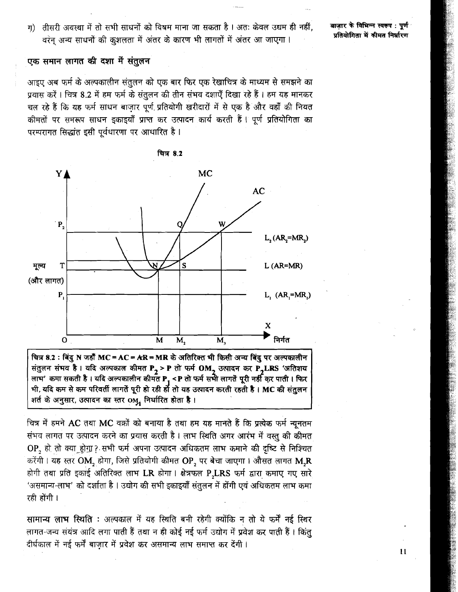ग) तीसरी अवस्था में तो सभी साधनों को विषम माना जा सकता है। अतः केवल उद्यम ही नहीं, वरंन अन्य साधनों की कुशलता में अंतर के कारण भी लागतों में अंतर आ जाएगा !

बाजार के विभिन्न स्वरूप: पूर्ण प्रतियोगिता में कीमत निर्धारण

एक समान लागत की दशा में संतुलन

आइए अब फर्म के अल्पकालीन संतुलन को एक बार फिर एक रेखाचित्र के माध्यम से समझने का प्रयास करें। चित्र 8.2 में हम फर्म के संतुलन की तीन संभव दशाएँ दिखा रहे हैं। हम यह मानकर चल रहे हैं कि यह फर्म साधन बाजार पूर्ण प्रतियोगी खरीदारों में से एक है और वहाँ की नियत कीमतों पर समरूप साधन इकाइयाँ प्राप्त कर उत्पादन कार्य करती हैं। पूर्ण प्रतियोगिता का परम्परागत सिद्धांत इसी पूर्वधारणा पर आधारित है।



चित्र 8.2 : बिंदु N जहाँ MC = AC = AR = MR के अतिरिक्त भी किसी अन्य बिंदु पर अल्पकालीन संतुलन संभव है। यदि अल्पकाल कीमत P<sub>2</sub> > P तो फर्म OM<sub>2</sub> उत्पादन कर P<sub>2</sub>LRS 'अतिशय लाम' कमा सकती है। यदि अल्पकालीन कीमत P1 <P तो फर्म समी लागतें पूरी नहीं कर पाती। फिर भी, यदि कम से कम परिवर्ती लागतें पूरी हो रही हों तो यह उत्पादन करती रहती है। MC की संतुलन शर्त के अनुसार, उत्पादन का स्तर OM, निर्धारित होता है।

चित्र में हमने AC तथा MC वक्रों को बनाया है तथा हम यह मानते हैं कि प्रत्येक फर्म न्यूनतम संभव लागत पर उत्पादन करने का प्रयास करती है। लाभ स्थिति अगर आरंभ में वस्तू की कीमत OP, हो तो क्या होग़ा? सभी फर्म अपना उत्पादन अधिकतम लाभ कमाने की दृष्टि से निश्चित करेंगी। यह स्तर OM, होगा, जिसे प्रतियोगी कीमत OP, पर बेचा जाएगा। औसत लागत M,R होगी तथा प्रति इकाई अतिरिक्त लाभ LR होगा। क्षेत्रफल P,LRS फर्म द्वारा कमाए गए सारे 'असमान्य-लाभ' को दर्शाता है । उद्योग की सभी इकाइयाँ संतुलन में होंगी एवं अधिकतम लाभ कमा रही होंगी ।

सामान्य लाभ स्थिति : अल्पकाल में यह स्थिति बनी रहेगी क्योंकि न तो ये फर्में नई स्थिर लागत-जन्य संयंत्र आदि लगा पाती हैं तथा न ही कोई नई फर्म उद्योग में प्रवेश कर पाती हैं। किंतु दीर्घकाल में नई फर्में बाज़ार में प्रवेश कर असमान्य लाभ समाप्त कर देंगी।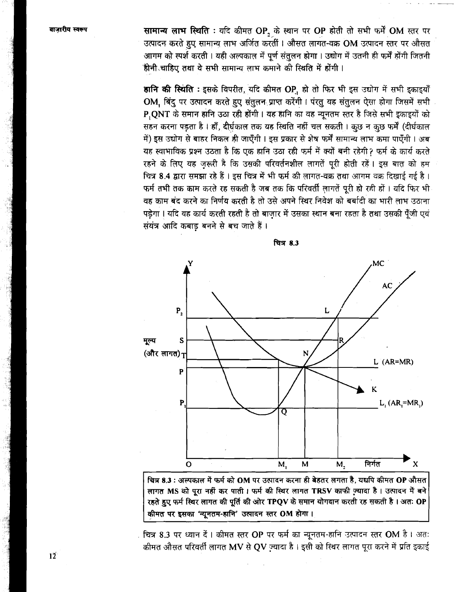सामान्य लाभ स्थिति : यदि कीमत OP, के स्थान पर OP होती तो सभी फर्में OM स्तर पर उत्पादन करते हुए सामान्य लाभ अर्जित करतीं । औसत लागत-वक्र OM उत्पादन स्तर पर औसत आगम को स्पर्श करती। यही अल्पकाल में पूर्ण संतुलन होगा। उद्योग में उतनी ही फर्में होंगी जितनी .<br>हीनी चाहिए तथा वे सभी सामान्य लाभ कमाने की स्थिति में होंगी।

हानि की स्थिति: इसके विपरीत, यदि कीमत OP, हो तो फिर भी इस उद्योग में सभी इकाइयाँ OM, बिंदु पर उत्पादन करते हुए संतुलन प्राप्त करेंगी। पंरतु यह संतुलन ऐसा होगा जिसमें सभी P, QNT के समान हानि उठा रही होंगी। यह हानि का वह न्यूनतम स्तर है जिसे सभी इकाइयों को सहन करना पड़ता है। हाँ, दीर्घकाल तक यह स्थिति नहीं चल सकती। कुछ न कुछ फर्में (दीर्घकाल में) इस उद्योग से बाहर निकल ही जाएँगी । इस प्रकार से शेष फर्में सामान्य लाभ कमा पाएँगी । अब यह स्वाभाविक प्रश्न उठता है कि एक हानि उठा रही फर्म में क्यों बनी रहेगी? फर्म के कार्य करते रहने के लिए यह ज़रूरी है कि उसकी परिवर्तनशील लागतें पूरी होती रहें। इस बात को हम चित्र 8.4 द्वारा समझा रहे हैं। इस चित्र में भी फर्म की लागत-वक्र तथा आगम वक्र दिखाई गई है। फर्म तभी तक काम करते रह सकती है जब तक कि परिवर्ती लागतें पूरी हो रही हों। यदि फिर भी वह काम बंद करने का निर्णय करती है तो उसे अपने स्थिर निवेश को बर्बादी का भारी लाभ उठाना पड़ेगा। यदि वह कार्य करती रहती है तो बाज़ार में उसका स्थान बना रहता है तथा उसकी पूँजी एवं संयंत्र आदि कबाड बनने से बच जाते हैं।





चित्र 8.3 : अल्पकाल में फर्म को OM पर उत्पादन करना ही बेहतर लगता है, यद्यपि कीमत OP औसत लागत MS को पूरा नहीं कर पाती। फर्म की स्थिर लागत TRSV काफी ज़्यादा है। उत्पादन में बने रहते हुए फर्म स्थिर लागत की पूर्ति की ओर TPQV के समान योगदान करती रह सकती है। अतः OP कीमत पर इसका 'न्यूनतम-हानि' उत्पादन स्तर OM होगा।

चित्र 8.3 पर ध्यान दें। कीमत स्तर OP पर फर्म का न्यूनतम-हानि उत्पादन स्तर OM है। अतः कीमत औसत परिवर्ती लागत MV से QV ज़्यादा है। इसी को स्थिर लागत पूरा करने में प्रति इकाई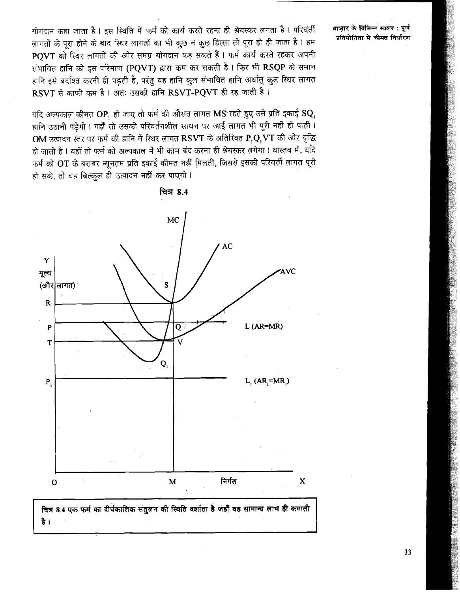योगदान कहा जाता है। इस स्थिति में फर्म को कार्य करते रहना ही श्रेयस्कर लगता है। परिवर्ती लागतों के पूरा होने के बाद स्थिर लागतों का भी कुछ न कुछ हिस्सा तो पूरा हो ही जाता है। हम PQVT को स्थिर लागतों की ओर समग्र योगदान कह सकते हैं। फर्म कार्य करते रहकर अपनी संभावित हानि को इस परिमाण (PQVT) द्वारा कम कर सकती है। फिर भी RSQP के समान हानि इसे बर्दाश्त करनी ही पड़ती है, परंतु यह हानि कुल संभावित हानि अर्थात् कुल स्थिर लागत  $RSVT$  से काफी कम है। अतः उसकी हानि  $RSVT\text{-}POVT$  ही रह जाती है।

यदि अल्पकाल कीमत  $\mathbf{OP}_{\mathbf{1}}$  हो जाए तो फर्म की औसत लागत  $\mathbf{MS}$  रहते हुए उसे प्रति इकाई  $\mathbf{SQ}_{\mathbf{1}}$ हानि उठानी पड़ेगी। यहाँ तो उसकी परिवर्तनशील साधन पर आई लागत भी पूरी नहीं हो पाती।  $OM$  उत्पादन स्तर पर फर्म की हानि में स्थिर लागत  $\overline{\text{RSVT}}$  के अतिरिक्त  $\overline{\text{P}_1\text{Q}_1\text{VT}}$  की ओर वृद्धि हो जाती है । यहाँ तो फर्म को अल्पकाल में भी काम बंद करना ही श्रेयस्कर लगेगा । वास्तव में, यदि फर्म को OT के बराबर न्यूनतम प्रति इकाई कीमत नहीं मिलती, जिससे इसकी परिवर्ती लागत पूरी हो सके. तो वह बिल्कुल ही उत्पादन नहीं कर पाएगी।



है ।

<u>चित्र 8.4</u>

### बाजार के विभिन्न स्वरूप : पुर्ण प्रतियोगिता में कीमत निर्धारण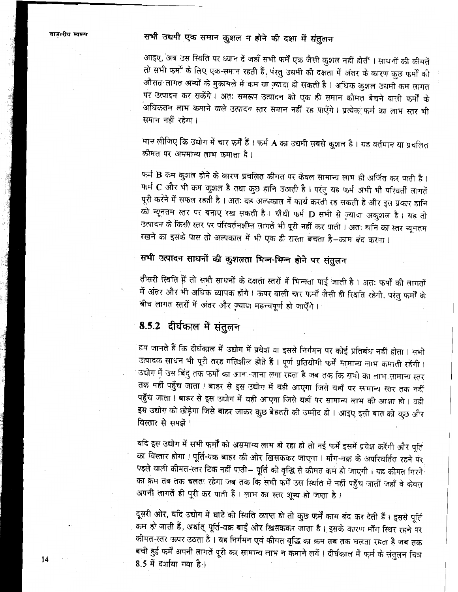# सभी उद्यमी एक समान कुशल न होने की दशा में संतुलन

आइए, अब उस स्थिति पर ध्यान दें जहाँ सभी फर्में एक जैसी कुशल नहीं होतीं । साधनों की कीमतें तो सभी फर्मों के लिए एक-समान रहती हैं, पंरतु उद्यमी की दक्षता में अंतर के कारण कुछ फर्मों की औसत लागत अन्यों के मुकाबले में कम या ज़्यादा हो सकती है । अधिक कुशल उद्यमी कम लागत पर उत्पादन कर सकेंगे। अतः समरूप उत्पादन को एक ही समान कीमत बेचने वाली फर्मों के ्<br>अधिकतम लाभ कमाने वाले उत्पादन स्तर समान नहीं रह पाएँगे । प्रत्येक फर्म का लाभ स्तर भी समान नहीं रहेगा।

मान लीजिए कि उद्योग में चार फर्में हैं । फर्म A का उद्यमी सबसे कुशल है । यह वर्तमान या प्रचलित कीमत पर असमान्य लाभ कमाता है।

फर्म B कम कुशल होने के कारण प्रचलित कीमत पर केवल सामान्य लाभ ही अर्जित कर पाती है। फर्म C और भी कम कुशल है तथा कुछ हानि उठाती है। परंतु यह फर्म अभी भी परिवर्ती लागतें पूरी करने में सफल रहती है। अतः यह अल्पकाल में कार्य करती रह सकती है और इस प्रकार हानि को न्यूनतम स्तर पर बनाए रख सकती है। चौथी फर्म D सभी से ज़्यादा अक़ुशल है। यह तो उत्पादन के किसी स्तर पर परिवर्तनशील लागतें भी पूरी नहीं कर पाती । अतः हानि का स्तर न्यूनतम रखने का इसके पास तो अल्पकाल में भी एक ही रास्ता बचता है–काम बंद करना।

# सभी उत्पादन साधनों की कुशलता भिन्न-भिन्न होने पर संतुलन

तीसरी स्थिति में तो सभी साधनों के दक्षता स्तरों में भिन्नता पाई जाती है। अतः फर्मों की लागतों में अंतर और भी अधिक व्यापक होंगे। ऊपर वाली चार फर्मों जैसी ही स्थिति रहेगी, परंतु फर्मों के बीच लागत स्तरों में अंतर और ज़्यादा महत्त्वपूर्ण हो जाएँगे।

# 8.5.2 दीर्घकाल में संतुलन

हम जानते हैं कि दीर्घकाल में उद्योग में प्रवेश या इससे निर्गमन पर कोई प्रतिबंध नहीं होता । सभी उत्पादक साधन भी पूरी तरह गतिशील होते हैं । पूर्ण प्रतियोगी फर्में सामान्य लाभ कमाती रहेंगी । उद्योग में उस बिंदु तक फर्मों का आना-जाना लगा रहता है जब तक कि सभी का लाभ सामान्य स्तर तक नहीं पहुँच जाता । बाहर से इस उद्योग में वही आएगा जिसे यहाँ पर सामान्य स्तर तक नहीं पहुँच जाता। बाहर से इस उद्योग में वही आएगा जिसे यहाँ पर सामान्य लाभ की आशा हो। वही इस उद्योग को छोड़ेगा जिसे बाहर जाकर कुछ बेहतरी की उम्मीद हो । आइए इसी बात को कुछ और विस्तार से समझें ।

यदि इस उद्योग में सभी फर्मों को असमान्य लाभ हो रहा हो तो नई फर्में इसमें प्रवेश करेंगी और पूर्ति का विस्तार होगा। पूर्ति-वक्र बाहर की ओर खिसककर जाएगा। माँग-वक्र के अपरिवर्तित रहने पर पहले वाली कीमत-स्तर टिक नहीं पाती— पूर्ति की वृद्धि से कीमत कम हो जाएगी । यह कीमत गिरने का क्रम तब तक चलता रहेगा जब तक कि सभी फर्में उस स्थिति में नहीं पहुँच जातीं जहाँ वे केवल अपनी लागतें ही पूरी कर पाती हैं । लाभ का स्तर शून्य हो जाता है ।

दूसरी ओर, यदि उद्योग में घाटे की स्थिति व्याप्त हो तो कुछ फर्में काम बंद कर देती हैं । इससे पूर्ति कम हो जाती हैं, अर्थात् पूर्ति-वक्र बाईं ओर खिसककर जाता है। इसके कारण माँग स्थिर रहने पर कीमत-स्तर ऊपर उठता है । यह निर्गमन एवं कीमत वृद्धि का क्रम तब तक चलता रहता है जब तक बची हुई फर्में अपनी लागतें पूरी कर सामान्य लाभ न कमाने लगें । दीर्घकाल में फर्म के संतुलन चित्र 8.5 में दर्शाया गया है।

14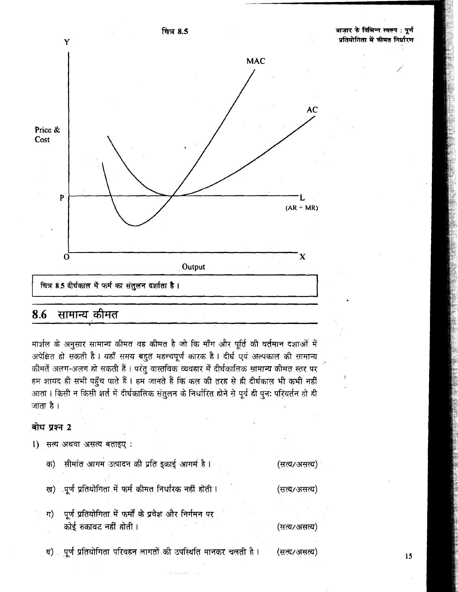

चित्र 8.5

#### 8.6 सामान्य कीमत

मार्शल के अनुसार सामान्य कीमत वह कीमत है जो कि माँग और पूर्ति की वर्तमान दशाओं में अपेक्षित हो सकती है । यहाँ समय बहुत महत्त्वपूर्ण कारक है । दीर्घ एवं अल्पकाल की सामान्य कीमतें अलग-अलग हो सकती हैं। परंतु वास्तविक व्यवहार में दीर्घकालिक सामान्य कीमत स्तर पर हम शायद ही सभी पहुँच पाते हैं। हम जानते हैं कि कल की तरह से ही दीर्घकाल भी कभी नहीं आता। किसी न किसी शर्त में दीर्घकालिक संतुलन के निर्धारित होने से पूर्व ही पून: परिवर्तन हो ही जाता है ।

## बोध प्रश्न 2

- 1) सत्य अथवा असत्य बताइए:
	- सीमांत आगम उत्पादन की प्रति इकाई आगर्म है। क) (सत्य/असत्य)
	- ख) ापूर्ण प्रतियोगिता में फर्म कीमत निर्धारक नहीं होती । (सत्य/असत्य)
	- पूर्ण प्रतियोगिता में फर्मों के प्रवेश और निर्गमन पर ग) कोई रुकावट नहीं होती। (सत्य/असत्य)
	- घ) पूर्ण प्रतियोगिता परिवहन लागतों की उपस्थिति मानकर चलती है।

(सत्य/असत्य)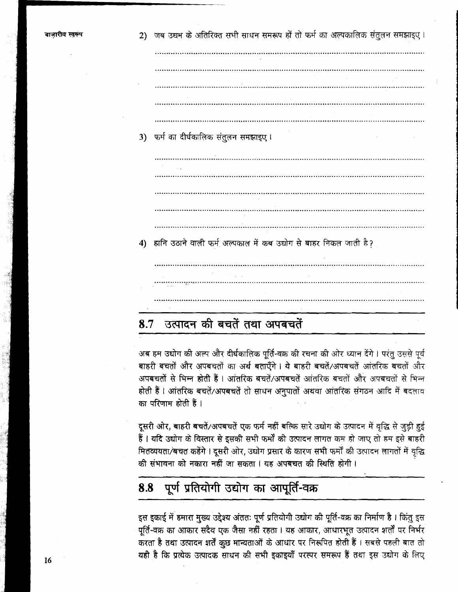2) जब उद्यम के अतिरिक्त सभी साधन समरूप हों तो फर्म का अल्पकालिक संतुलन समझाइए। 3) फर्म का दीर्घकालिक संतुलन समझाइए। 4) हानि उठाने वाली फर्म अल्पकाल में कब उद्योग से बाहर निकल जाती है?

### उत्पादन की बचतें तथा अपबचतें 8.7

अब हम उद्योग की अल्प और दीर्घकालिक पूर्ति-वक्र की रचना की ओर ध्यान देंगे। परंतु उससे पूर्व बाहरी बचतों और अपबचतों का अर्थ बताएँगे। ये बाहरी बचतें/अपबचतें आंतरिक बचतों और अपबचतों से भिन्न होती हैं । आंतरिक बचतें/अपबचतें आंतरिक बचतों और अपबचतों से भिन्न होती हैं। आंतरिक बचतें/अपबचतें तो साधन अनुपातों अथवा आंतरिक संगठन आदि में बदलाव का परिणाम होती हैं ।

दूसरी ओर, बाहरी बचतें/अपबचतें एक फर्म नहीं बल्कि सारे उद्योग के उत्पादन में वृद्धि से जुड़ी हुई हैं। यदि उद्योग के विस्तार से इसकी सभी फर्मों की उत्पादन लागत कम हो जाए तो हम इसे बाहरी मितव्ययता/बचत कहेंगे। दूसरी ओर, उद्योग प्रसार के कारण सभी फर्मों की उत्पादन लागतों में वृद्धि की संभावना को नकारा नहीं जा सकता । यह अपबचत की स्थिति होगी ।

### पूर्ण प्रतियोगी उद्योग का आपूर्ति-वक्र 8.8

इस इकाई में हमारा मुख्य उद्देश्य अंततः पूर्ण प्रतियोगी उद्योग की पूर्ति-वक्र का निर्माण है। किंतु इस पूर्ति-वक्र का आकार सदैव एक जैसा नहीं रहता। यह आकार, आधारभूत उत्पादन शर्तों पर निर्भर करता है तथा उत्पादन शर्तें कुछ मान्यताओं के आधार पर निरूपित होती हैं। सबसे पहली बात तो यही है कि प्रत्येक उत्पादक साधन की सभी इकाइयाँ परस्पर समरूप हैं तथा इस उद्योग के लिए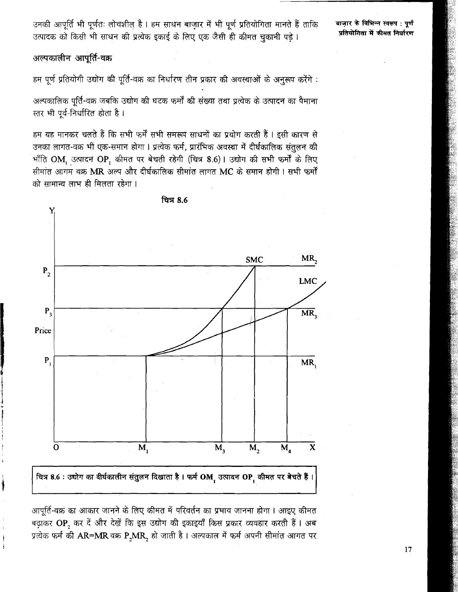उनकी आपूर्ति भी पूर्णतः लोचशील है। हम साधन बाज़ार में भी पूर्ण प्रतियोगिता मानते हैं ताकि उत्पादक को किसी भी साधन की प्रत्येक इकाई के लिए एक जैसी ही कीमत चुकानी पड़े।

बाज़ार के विभिन्न स्वरूप : पुर्ण प्रतियोगिता में कीमत निर्धारण

अल्पकालीन आपूर्ति-वक्र

हम पूर्ण प्रतियोगी उद्योग की पूर्ति-वक्र का निर्धारण तीन प्रकार की अवस्थाओं के अनुरूप करेंगे:

अल्पकालिक पूर्ति-वक्र जबकि उद्योग की घटक फर्मों की संख्या तथा प्रत्येक के उत्पादन का पैमाना स्तर भी पूर्व-निर्धारित होता है।

हम यह मानकर चलते हैं कि सभी फर्में सभी समरूप साधनों का प्रयोग करती हैं। इसी कारण से उनका लागत-वक्र भी एक-समान होगा। प्रत्येक फर्म, प्रारंभिक अवस्था में दीर्घकालिक संतुलन की भाँति OM, उत्पादन OP, कीमत पर बेचती रहेगी (चित्र 8.6)। उद्योग की सभी फर्मों के लिए सीमांत आगम वक्र MR अल्प और दीर्घकालिक सीमांत लागत MC के समान होगी। सभी फर्मों को सामान्य लाभ ही मिलता रहेगा ।



चित्र 8.6

चित्र 8.6 : उद्योग का दीर्घकालीन संतुलन दिखाता है। फर्म OM, उत्पादन OP, कीमत पर बेचते हैं।

आपूर्ति-वक्र का आकार जानने के लिए कीमत में परिवर्तन का प्रभाव जानना होगा। आइए कीमत बढ़ाकर OP, कर दें और देखें कि इस उद्योग की इकाइयाँ किस प्रकार व्यवहार करती हैं। अब प्रत्येक फर्म की AR=MR वक्र P,MR, हो जाती है। अल्पकाल में फर्म अपनी सीमांत आगत पर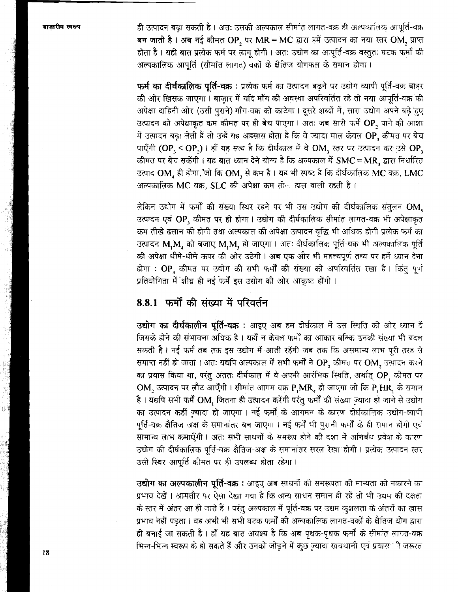ही उत्पादन बढ़ा सकती है। अतः उसकी अल्पकाल सीमांत लागत-वक्र ही अल्पकालिक आपूर्ति-वक्र बन जाती है। अब नई कीमत OP, पर MR = MC द्वारा हमें उत्पादन का नया स्तर OM, प्राप्त होता है। यही बात प्रत्येक फर्म पर लागू होगी। अतः उद्योग का आपूर्ति-वक्र वस्तुतः घटक फर्मों की अल्पकालिक आपूर्ति (सीमांत लागत) वक्रों के क्षैतिज योगफल के समान होगा।

फर्म का दीर्घकालिक पूर्ति-वक्र : प्रत्येक फर्म का उत्पादन बढने पर उद्योग व्यापी पूर्ति-वक्र बाहर की ओर खिसक जाएगा। बाजार में यदि माँग की अवस्था अपरिवर्तित रहे तो नया आपूर्ति-वक्र की अपेक्षा दाहिनी ओर (उसी पुराने) माँग-वक्र को काटेगा। दूसरे शब्दों में, सारा उद्योग अपने बढ़े हुए उत्पादन को अपेक्षाकृत कम कीमत पर ही बेच पाएगा। अतः जब सारी फर्में OP, पाने की आशा में उत्पादन बढ़ा लेती हैं तो उन्हें यह अहसास होता है कि वे ज्यादा माल केवल OP, कीमत पर बेच पाएँगी (OP, < OP,) । हाँ यह सत्य है कि दीर्घकाल में वे OM, स्तर पर उत्पादन कर उसे OP, कीमत पर बेच सकेंगी। यह बात ध्यान देने योग्य है कि अल्पकाल में SMC = MR, द्वारा निर्धारित उत्पाद OM, ही होगा, जो कि OM, से कम है। यह भी स्पष्ट है कि दीर्घकालिक MC वक्र, LMC अल्पकालिक MC वक्र. SLC की अपेक्षा कम तील ढाल वाली रहती है।

लेकिन उद्योग में फर्मों की संख्या स्थिर रहने पर भी उस उद्योग की दीर्घकालिक संतुलन OM, उत्पादन एवं OP, कीमत पर ही होगा। उद्योग की दीर्घकालिक सीमांत लागत-वक्र भी अपेक्षाकृत कम तीखे ढलान की होगी तथा अल्पकाल की अपेक्षा उत्पादन वृद्धि भी अधिक होगी प्रत्येक फर्म का उत्पादन M,M, की बजाए M,M, हो जाएगा । अतः दीर्घकालिक पूर्ति-वक्र भी अल्पकालिक पूर्ति की अपेक्षा धीमे-धीमे ऊपर की ओर उठेगी। अब एक और भी महत्त्वपूर्ण तथ्य पर हमें ध्यान देना होगा : OP, कीमत पर उद्योग की सभी फर्मों की संख्या को अपरिवर्तित रखा है। किंतु पूर्ण प्रतियोगिता में शीघ्र ही नई फर्में इस उद्योग की ओर आकृष्ट होंगी।

# 8.8.1 फर्मों की संख्या में परिवर्तन

उद्योग का दीर्घकालीन पूर्ति-वक्र : आइए अब हम दीर्घकाल में उस स्थिति की ओर ध्यान दें जिसके होने की संभावना अधिक है । यहाँ न केवल फर्मों का आकार बल्कि उनकी संख्या भी बदल सकती है। नई फर्में तब तक इस उद्योग में आती रहेंगी जब तक कि असमान्य लाभ पूरी तरह से समाप्त नहीं हो जाता । अतः यद्यपि अल्पकाल में सभी फर्मों ने OP, कीमत पर OM, उत्पादन करने का प्रयास किया था, परंतु अंततः दीर्घकाल में वे अपनी आरंभिक स्थिति, अर्थात् OP, कीमत पर OM, उत्पादन पर लौट आएँगी। सीमांत आगम वक्र P,MR, हो जाएगा जो कि P,HR, के समान है। यद्यपि सभी फर्में OM, जितना ही उत्पादन करेंगी परंतु फर्मों की संख्या ज़्यादा हो जाने से उद्योग का उत्पादन कहीं ज़्यादा हो जाएगा। नई फर्मों के आगमन के कारण दीर्घकालिक उद्योग-व्यापी पूर्ति-वक्र क्षैतिज अक्ष के समानांतर बन जाएगा। नई फर्में भी पुरानी फर्मों के ही समान होंगी एवं सामान्य लाभ कमाएँगी। अतः सभी साधनों के समरूप होने की दशा में अनिर्बंध प्रवेश के कारण उद्योग की दीर्घकालिक पूर्ति-वक्र क्षैतिज-अक्ष के समानांतर सरल रेखा होगी। प्रत्येक उत्पादन स्तर उसी स्थिर आपूर्ति कीमत पर ही उपलब्ध होता रहेगा।

उद्योग का अल्पकालीन पूर्ति-वक्र : आइए अब साधनों की समरूपता की मान्यता को नकारने का प्रभाव देखें। आमतौर पर ऐसा देखा गया है कि अन्य साधन समान ही रहें तो भी उद्यम की दक्षता के स्तर में अंतर आ ही जाते हैं। परंतु अल्पकाल में पूर्ति-वक्र पर उद्यम कुशलता के अंतरों का खास प्रभाव नहीं पड़ता। वह अभी भी सभी घटक फर्मों की अल्पकालिक लागत-वक्रों के क्षैतिज योग द्वारा ही बनाई जा सकती है। हाँ यह बात अवश्य है कि अब पृथक-पृथक फर्मों के सीमांत लागत-वक्र भिन्न-भिन्न स्वरूप के हो सकते हैं और उनको जोड़ने में कुछ ज़्यादा सावधानी एवं प्रयास ी जरूरत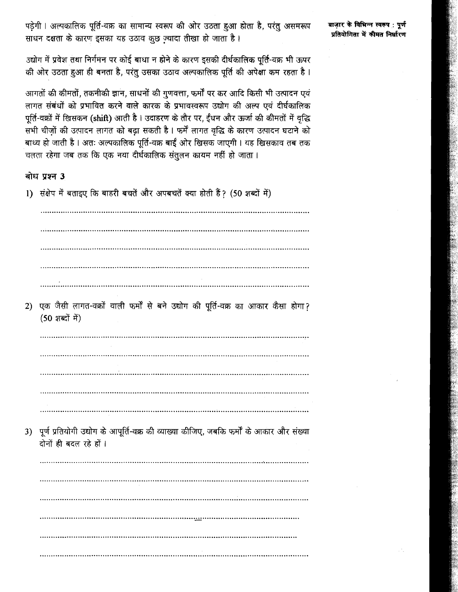पडेगी । अल्पकालिक पूर्ति-वक्र का सामान्य स्वरूप की ओर उठता हुआ होता है, परंतु असमरूप साधन दक्षता के कारण इसका यह उठाव कुछ ज्यादा तीखा हो जाता है।

बाज़ार के विभिन्न स्वरूप : पुर्ण प्रतियोगिता में कीमत निर्धारण

उद्योग में प्रवेश तथा निर्गमन पर कोई बाधा न होने के कारण इसकी दीर्घकालिक पर्ति-वक्र भी ऊपर की ओर उठता हुआ ही बनता है, परंतु उसका उठाव अल्पकालिक पूर्ति की अपेक्षा कम रहता है।

आगतों की कीमतों, तकनीकी ज्ञान, साधनों की गुणवत्ता, फर्मों पर कर आदि किसी भी उत्पादन एवं लागत संबंधों को प्रभावित करने वाले कारक के प्रभावस्वरूप उद्योग की अल्प एवं दीर्घकालिक पर्ति-वक्रों में खिसकन (shift) आती है । उदाहरण के तौर पर, ईंधन और ऊर्जा की कीमतों में वृद्धि सभी चीज़ों की उत्पादन लागत को बढ़ा सकती है। फर्में लागत वृद्धि के कारण उत्पादन घटाने को बाध्य हो जाती है। अतः अल्पकालिक पूर्ति-वक्र बाईं ओर खिसक जाएगी। यह खिसकाव तब तक <sub>.</sub><br>चलता रहेगा जब तक कि एक नया दीर्घकालिक संतुलन कायम नहीं हो जाता ।

## बोध प्रश्न 3

1) संक्षेप में बताइए कि बाहरी बचतें और अपबचतें क्या होती हैं? (50 शब्दों में)

 $\mathcal{L}^{(1)}$  ,  $\mathcal{L}^{(2)}$  ,  $\mathcal{L}^{(3)}$  ,  $\mathcal{L}^{(4)}$  ,  $\mathcal{L}^{(5)}$  ,  $\mathcal{L}^{(6)}$  ,  $\mathcal{L}^{(7)}$  ,  $\mathcal{L}^{(8)}$  ,  $\mathcal{L}^{(8)}$  ,  $\mathcal{L}^{(8)}$  ,  $\mathcal{L}^{(8)}$  ,  $\mathcal{L}^{(8)}$  ,  $\mathcal{L}^{(8)}$  ,  $\mathcal{L}^{(8)}$  ,  $\mathcal{L}^{(8)}$ 2) एक जैसी लागत-वक्रों वाली फर्मों से बने उद्योग की पूर्ति-वक्र का आकार कैसा होगा?  $(50 \text{ sec}^2 \text{ H})$ 3) पूर्ण प्रतियोगी उद्योग के आपूर्ति-वक्र की व्याख्या कीजिए, जबकि फर्मों के आकार और संख्या दोनों ही बदल रहे हों।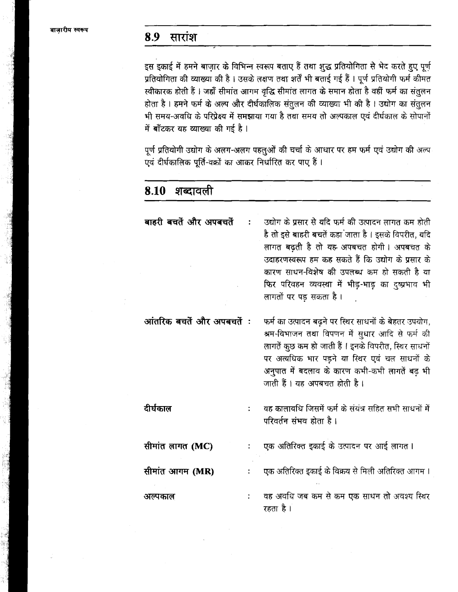#### सारांश 8.9

 $\overline{a}$ 

 $\Delta$ 

इस इकाई में हमने बाज़ार के विभिन्न स्वरूप बताए हैं तथा शुद्ध प्रतियोगिता से भेद करते हुए पूर्ण प्रतियोगिता की व्याख्या की है। उसके लक्षण तथा शर्तें भी बताई गई हैं। पूर्ण प्रतियोगी फर्म कीमत स्वीकारक होती हैं। जहाँ सीमांत आगम वृद्धि सीमांत लागत के समान होता है वहीं फर्म का संतुलन होता है। हमने फर्म के अल्प और दीर्घकालिक संतुलन की व्याख्या भी की है। उद्योग का संतुलन भी समय-अवधि के परिप्रेक्ष्य में समझाया गया है तथा समय तो अल्पकाल एवं दीर्घकाल के सोपानों में बाँटकर यह व्याख्या की गई है।

पूर्ण प्रतियोगी उद्योग के अलग-अलग पहलुओं की चर्चा के आधार पर हम फर्म एवं उद्योग की अल्प एवं दीर्घकालिक पूर्ति-वक्रों का आकर निर्धारित कर पाए हैं।

| 8.10 शब्दावला             |                                                                                                                                                                                                                                                                                                                                               |
|---------------------------|-----------------------------------------------------------------------------------------------------------------------------------------------------------------------------------------------------------------------------------------------------------------------------------------------------------------------------------------------|
| बाहरी बचतें और अपबचतें    | उद्योग के प्रसार से यदि फर्म की उत्पादन लागत कम होती<br>है तो इसे बाहरी बचतें कहा जाता है । इसके विपरीत, यदि<br>लागत बढ़ती है तो यह अपबचत होगी। अपबचत के<br>उदाहरणस्वरूप हम कह सकते हैं कि उद्योग के प्रसार के<br>कारण साधन-विशेष की उपलब्ध कम हो सकती है या<br>फिर परिवहन व्यवस्था में भीड़-भाड़ का दुष्प्रभाव भी<br>लागतों पर पड़ सकता है । |
| आंतरिक बचतें और अपबचतें : | फर्म का उत्पादन बढ़ने पर स्थिर साधनों के बेहतर उपयोग,<br>श्रम-विभाजन तथा विपणन में सुधार आदि से फर्म की<br>लागतें कुछ कम हो जाती हैं । इनके विपरीत, स्थिर साधनों<br>पर अत्यधिक भार पड़ने या स्थिर एवं चल साधनों के<br>अनुपात में बदलाव के कारण कभी-कभी लागतें बढ़ भी<br>जाती हैं । यह अपबचत होती है ।                                         |
| दीर्घकाल                  | वह कालावधि जिसमें फर्म के संयंत्र सहित सभी साधनों में<br>परिवर्तन संभव होता है।                                                                                                                                                                                                                                                               |
| सीमांत लागत (MC)          | एक अतिरिक्त इकाई के उत्पादन पर आई लागत ।                                                                                                                                                                                                                                                                                                      |
| सीमांत आगम (MR)           | एक अतिरिक्त इकाई के विक्रय से मिली अतिरिक्त आगम ।                                                                                                                                                                                                                                                                                             |
| अल्पकाल                   | वह अवधि जब कम से कम एक साधन तो अवश्य स्थिर<br>रहता है ।                                                                                                                                                                                                                                                                                       |